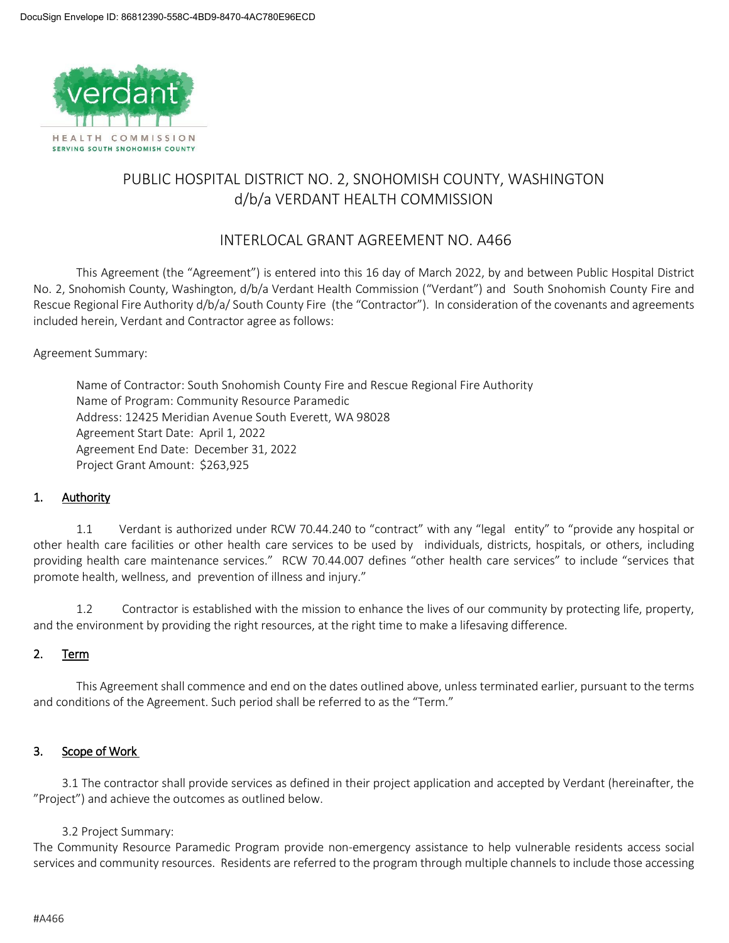

# PUBLIC HOSPITAL DISTRICT NO. 2, SNOHOMISH COUNTY, WASHINGTON d/b/a VERDANT HEALTH COMMISSION

## INTERLOCAL GRANT AGREEMENT NO. A466

This Agreement (the "Agreement") is entered into this 16 day of March 2022, by and between Public Hospital District No. 2, Snohomish County, Washington, d/b/a Verdant Health Commission ("Verdant") and South Snohomish County Fire and Rescue Regional Fire Authority d/b/a/ South County Fire (the "Contractor"). In consideration of the covenants and agreements included herein, Verdant and Contractor agree as follows:

Agreement Summary:

Name of Contractor: South Snohomish County Fire and Rescue Regional Fire Authority Name of Program: Community Resource Paramedic Address: 12425 Meridian Avenue South Everett, WA 98028 Agreement Start Date: April 1, 2022 Agreement End Date: December 31, 2022 Project Grant Amount: \$263,925

### 1. Authority

1.1 Verdant is authorized under RCW 70.44.240 to "contract" with any "legal entity" to "provide any hospital or other health care facilities or other health care services to be used by individuals, districts, hospitals, or others, including providing health care maintenance services." RCW 70.44.007 defines "other health care services" to include "services that promote health, wellness, and prevention of illness and injury."

1.2 Contractor is established with the mission to enhance the lives of our community by protecting life, property, and the environment by providing the right resources, at the right time to make a lifesaving difference.

### 2. Term

This Agreement shall commence and end on the dates outlined above, unless terminated earlier, pursuant to the terms and conditions of the Agreement. Such period shall be referred to as the "Term."

### 3. Scope of Work

3.1 The contractor shall provide services as defined in their project application and accepted by Verdant (hereinafter, the "Project") and achieve the outcomes as outlined below.

### 3.2 Project Summary:

The Community Resource Paramedic Program provide non-emergency assistance to help vulnerable residents access social services and community resources. Residents are referred to the program through multiple channels to include those accessing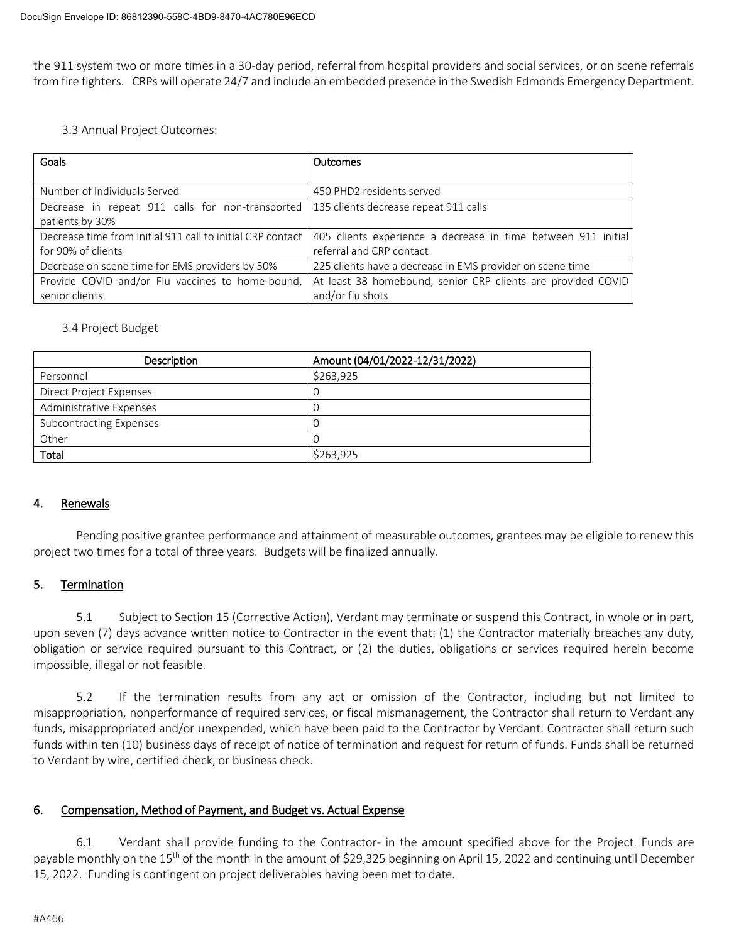the 911 system two or more times in a 30-day period, referral from hospital providers and social services, or on scene referrals from fire fighters. CRPs will operate 24/7 and include an embedded presence in the Swedish Edmonds Emergency Department.

3.3 Annual Project Outcomes:

| Goals                                                      | Outcomes                                                      |
|------------------------------------------------------------|---------------------------------------------------------------|
|                                                            |                                                               |
| Number of Individuals Served                               | 450 PHD2 residents served                                     |
| Decrease in repeat 911 calls for non-transported           | 135 clients decrease repeat 911 calls                         |
| patients by 30%                                            |                                                               |
| Decrease time from initial 911 call to initial CRP contact | 405 clients experience a decrease in time between 911 initial |
| for 90% of clients                                         | referral and CRP contact                                      |
| Decrease on scene time for EMS providers by 50%            | 225 clients have a decrease in EMS provider on scene time     |
| Provide COVID and/or Flu vaccines to home-bound,           | At least 38 homebound, senior CRP clients are provided COVID  |
| senior clients                                             | and/or flu shots                                              |

### 3.4 Project Budget

| Description             | Amount (04/01/2022-12/31/2022) |
|-------------------------|--------------------------------|
| Personnel               | \$263,925                      |
| Direct Project Expenses |                                |
| Administrative Expenses |                                |
| Subcontracting Expenses |                                |
| Other                   |                                |
| Total                   | \$263.925                      |

### 4. Renewals

Pending positive grantee performance and attainment of measurable outcomes, grantees may be eligible to renew this project two times for a total of three years. Budgets will be finalized annually.

### 5. Termination

5.1 Subject to Section 15 (Corrective Action), Verdant may terminate or suspend this Contract, in whole or in part, upon seven (7) days advance written notice to Contractor in the event that: (1) the Contractor materially breaches any duty, obligation or service required pursuant to this Contract, or (2) the duties, obligations or services required herein become impossible, illegal or not feasible.

5.2 If the termination results from any act or omission of the Contractor, including but not limited to misappropriation, nonperformance of required services, or fiscal mismanagement, the Contractor shall return to Verdant any funds, misappropriated and/or unexpended, which have been paid to the Contractor by Verdant. Contractor shall return such funds within ten (10) business days of receipt of notice of termination and request for return of funds. Funds shall be returned to Verdant by wire, certified check, or business check.

### 6. Compensation, Method of Payment, and Budget vs. Actual Expense

6.1 Verdant shall provide funding to the Contractor- in the amount specified above for the Project. Funds are payable monthly on the 15<sup>th</sup> of the month in the amount of \$29,325 beginning on April 15, 2022 and continuing until December 15, 2022. Funding is contingent on project deliverables having been met to date.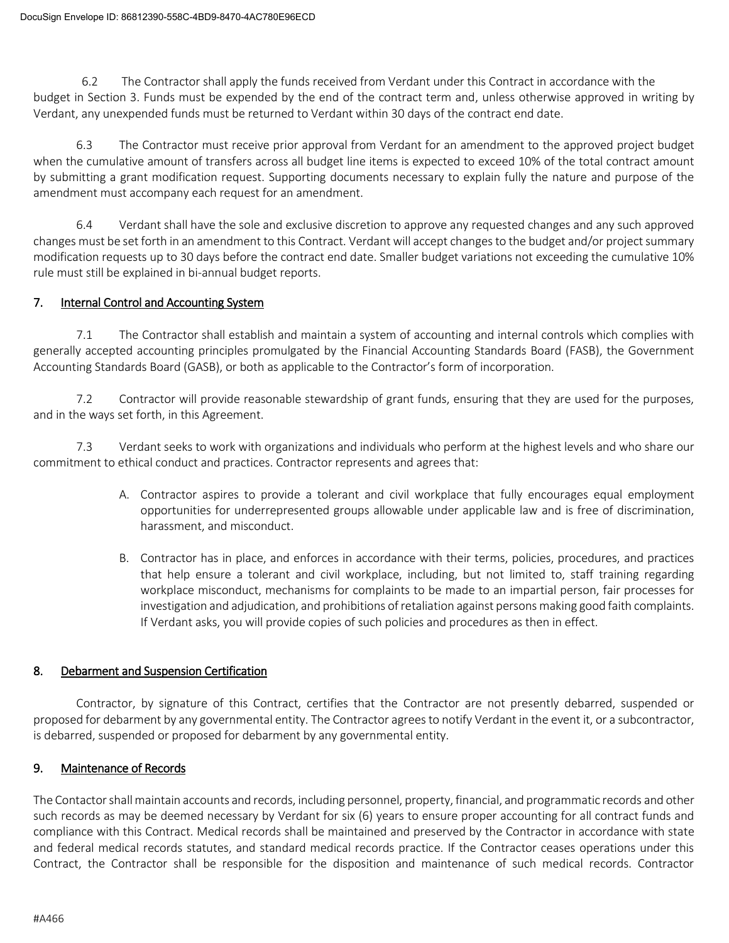6.2 The Contractor shall apply the funds received from Verdant under this Contract in accordance with the budget in Section 3. Funds must be expended by the end of the contract term and, unless otherwise approved in writing by Verdant, any unexpended funds must be returned to Verdant within 30 days of the contract end date.

6.3 The Contractor must receive prior approval from Verdant for an amendment to the approved project budget when the cumulative amount of transfers across all budget line items is expected to exceed 10% of the total contract amount by submitting a grant modification request. Supporting documents necessary to explain fully the nature and purpose of the amendment must accompany each request for an amendment.

6.4 Verdant shall have the sole and exclusive discretion to approve any requested changes and any such approved changes must be set forth in an amendment to this Contract. Verdant will accept changes to the budget and/or project summary modification requests up to 30 days before the contract end date. Smaller budget variations not exceeding the cumulative 10% rule must still be explained in bi-annual budget reports.

### 7. Internal Control and Accounting System

7.1 The Contractor shall establish and maintain a system of accounting and internal controls which complies with generally accepted accounting principles promulgated by the Financial Accounting Standards Board (FASB), the Government Accounting Standards Board (GASB), or both as applicable to the Contractor's form of incorporation.

7.2 Contractor will provide reasonable stewardship of grant funds, ensuring that they are used for the purposes, and in the ways set forth, in this Agreement.

7.3 Verdant seeks to work with organizations and individuals who perform at the highest levels and who share our commitment to ethical conduct and practices. Contractor represents and agrees that:

- A. Contractor aspires to provide a tolerant and civil workplace that fully encourages equal employment opportunities for underrepresented groups allowable under applicable law and is free of discrimination, harassment, and misconduct.
- B. Contractor has in place, and enforces in accordance with their terms, policies, procedures, and practices that help ensure a tolerant and civil workplace, including, but not limited to, staff training regarding workplace misconduct, mechanisms for complaints to be made to an impartial person, fair processes for investigation and adjudication, and prohibitions of retaliation against persons making good faith complaints. If Verdant asks, you will provide copies of such policies and procedures as then in effect.

### 8. Debarment and Suspension Certification

Contractor, by signature of this Contract, certifies that the Contractor are not presently debarred, suspended or proposed for debarment by any governmental entity. The Contractor agrees to notify Verdant in the event it, or a subcontractor, is debarred, suspended or proposed for debarment by any governmental entity.

### 9. Maintenance of Records

The Contactor shall maintain accounts and records, including personnel, property, financial, and programmatic records and other such records as may be deemed necessary by Verdant for six (6) years to ensure proper accounting for all contract funds and compliance with this Contract. Medical records shall be maintained and preserved by the Contractor in accordance with state and federal medical records statutes, and standard medical records practice. If the Contractor ceases operations under this Contract, the Contractor shall be responsible for the disposition and maintenance of such medical records. Contractor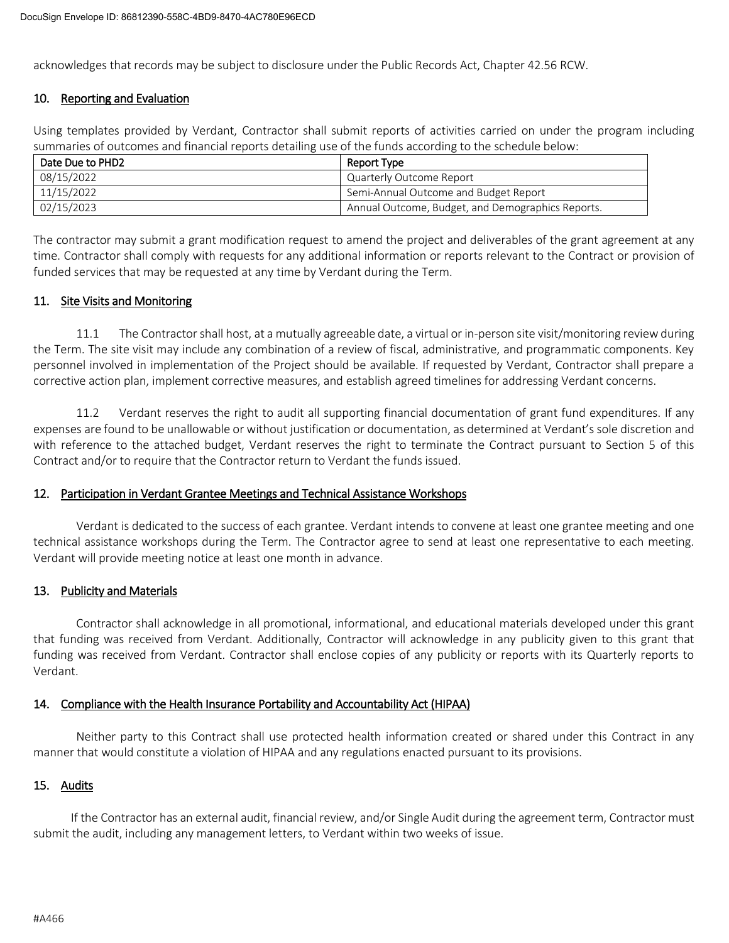acknowledges that records may be subject to disclosure under the Public Records Act, Chapter 42.56 RCW.

### 10. Reporting and Evaluation

Using templates provided by Verdant, Contractor shall submit reports of activities carried on under the program including summaries of outcomes and financial reports detailing use of the funds according to the schedule below:

| Date Due to PHD2 | Report Type                                       |
|------------------|---------------------------------------------------|
| 08/15/2022       | Quarterly Outcome Report                          |
| 11/15/2022       | Semi-Annual Outcome and Budget Report             |
| 02/15/2023       | Annual Outcome, Budget, and Demographics Reports. |

The contractor may submit a grant modification request to amend the project and deliverables of the grant agreement at any time. Contractor shall comply with requests for any additional information or reports relevant to the Contract or provision of funded services that may be requested at any time by Verdant during the Term.

### 11. Site Visits and Monitoring

11.1 The Contractorshall host, at a mutually agreeable date, a virtual or in-person site visit/monitoring review during the Term. The site visit may include any combination of a review of fiscal, administrative, and programmatic components. Key personnel involved in implementation of the Project should be available. If requested by Verdant, Contractor shall prepare a corrective action plan, implement corrective measures, and establish agreed timelines for addressing Verdant concerns.

11.2 Verdant reserves the right to audit all supporting financial documentation of grant fund expenditures. If any expenses are found to be unallowable or without justification or documentation, as determined at Verdant's sole discretion and with reference to the attached budget, Verdant reserves the right to terminate the Contract pursuant to Section 5 of this Contract and/or to require that the Contractor return to Verdant the funds issued.

### 12. Participation in Verdant Grantee Meetings and Technical Assistance Workshops

Verdant is dedicated to the success of each grantee. Verdant intends to convene at least one grantee meeting and one technical assistance workshops during the Term. The Contractor agree to send at least one representative to each meeting. Verdant will provide meeting notice at least one month in advance.

### 13. Publicity and Materials

Contractor shall acknowledge in all promotional, informational, and educational materials developed under this grant that funding was received from Verdant. Additionally, Contractor will acknowledge in any publicity given to this grant that funding was received from Verdant. Contractor shall enclose copies of any publicity or reports with its Quarterly reports to Verdant.

### 14. Compliance with the Health Insurance Portability and Accountability Act (HIPAA)

Neither party to this Contract shall use protected health information created or shared under this Contract in any manner that would constitute a violation of HIPAA and any regulations enacted pursuant to its provisions.

### 15. Audits

If the Contractor has an external audit, financial review, and/or Single Audit during the agreement term, Contractor must submit the audit, including any management letters, to Verdant within two weeks of issue.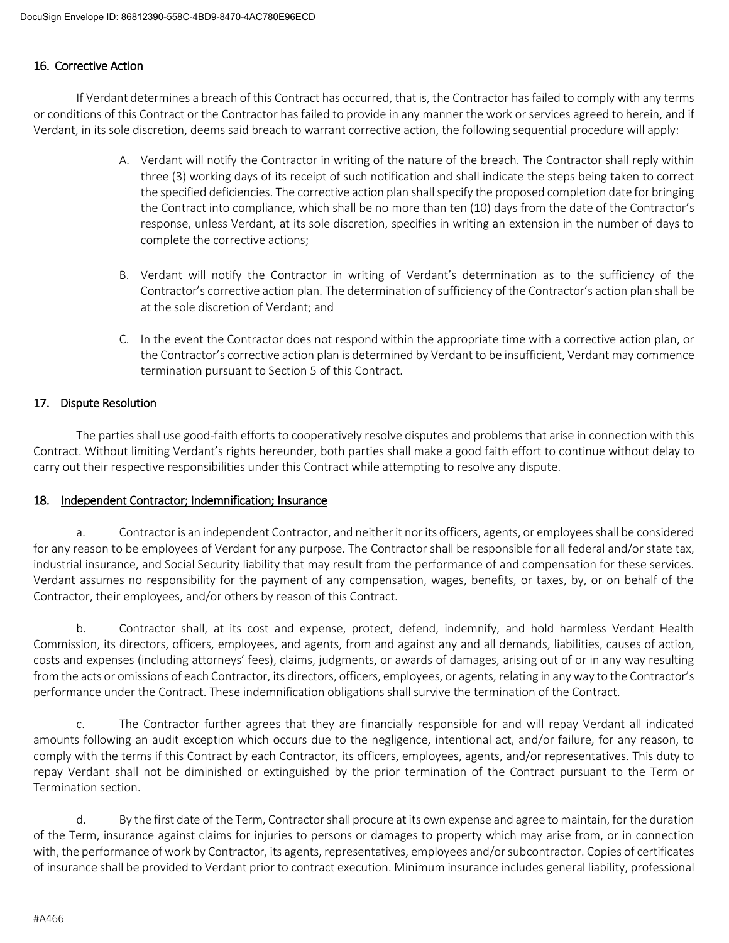### 16. Corrective Action

If Verdant determines a breach of this Contract has occurred, that is, the Contractor has failed to comply with any terms or conditions of this Contract or the Contractor has failed to provide in any manner the work or services agreed to herein, and if Verdant, in its sole discretion, deems said breach to warrant corrective action, the following sequential procedure will apply:

- A. Verdant will notify the Contractor in writing of the nature of the breach. The Contractor shall reply within three (3) working days of its receipt of such notification and shall indicate the steps being taken to correct the specified deficiencies. The corrective action plan shall specify the proposed completion date for bringing the Contract into compliance, which shall be no more than ten (10) days from the date of the Contractor's response, unless Verdant, at its sole discretion, specifies in writing an extension in the number of days to complete the corrective actions;
- B. Verdant will notify the Contractor in writing of Verdant's determination as to the sufficiency of the Contractor's corrective action plan. The determination of sufficiency of the Contractor's action plan shall be at the sole discretion of Verdant; and
- C. In the event the Contractor does not respond within the appropriate time with a corrective action plan, or the Contractor's corrective action plan is determined by Verdant to be insufficient, Verdant may commence termination pursuant to Section 5 of this Contract.

### 17. Dispute Resolution

The parties shall use good-faith efforts to cooperatively resolve disputes and problems that arise in connection with this Contract. Without limiting Verdant's rights hereunder, both parties shall make a good faith effort to continue without delay to carry out their respective responsibilities under this Contract while attempting to resolve any dispute.

### 18. Independent Contractor; Indemnification; Insurance

a. Contractoris an independent Contractor, and neither it nor its officers, agents, or employees shall be considered for any reason to be employees of Verdant for any purpose. The Contractor shall be responsible for all federal and/or state tax, industrial insurance, and Social Security liability that may result from the performance of and compensation for these services. Verdant assumes no responsibility for the payment of any compensation, wages, benefits, or taxes, by, or on behalf of the Contractor, their employees, and/or others by reason of this Contract.

b. Contractor shall, at its cost and expense, protect, defend, indemnify, and hold harmless Verdant Health Commission, its directors, officers, employees, and agents, from and against any and all demands, liabilities, causes of action, costs and expenses (including attorneys' fees), claims, judgments, or awards of damages, arising out of or in any way resulting from the acts or omissions of each Contractor, its directors, officers, employees, or agents, relating in any way to the Contractor's performance under the Contract. These indemnification obligations shall survive the termination of the Contract.

c. The Contractor further agrees that they are financially responsible for and will repay Verdant all indicated amounts following an audit exception which occurs due to the negligence, intentional act, and/or failure, for any reason, to comply with the terms if this Contract by each Contractor, its officers, employees, agents, and/or representatives. This duty to repay Verdant shall not be diminished or extinguished by the prior termination of the Contract pursuant to the Term or Termination section.

d. By the first date of the Term, Contractor shall procure at its own expense and agree to maintain, for the duration of the Term, insurance against claims for injuries to persons or damages to property which may arise from, or in connection with, the performance of work by Contractor, its agents, representatives, employees and/or subcontractor. Copies of certificates of insurance shall be provided to Verdant prior to contract execution. Minimum insurance includes general liability, professional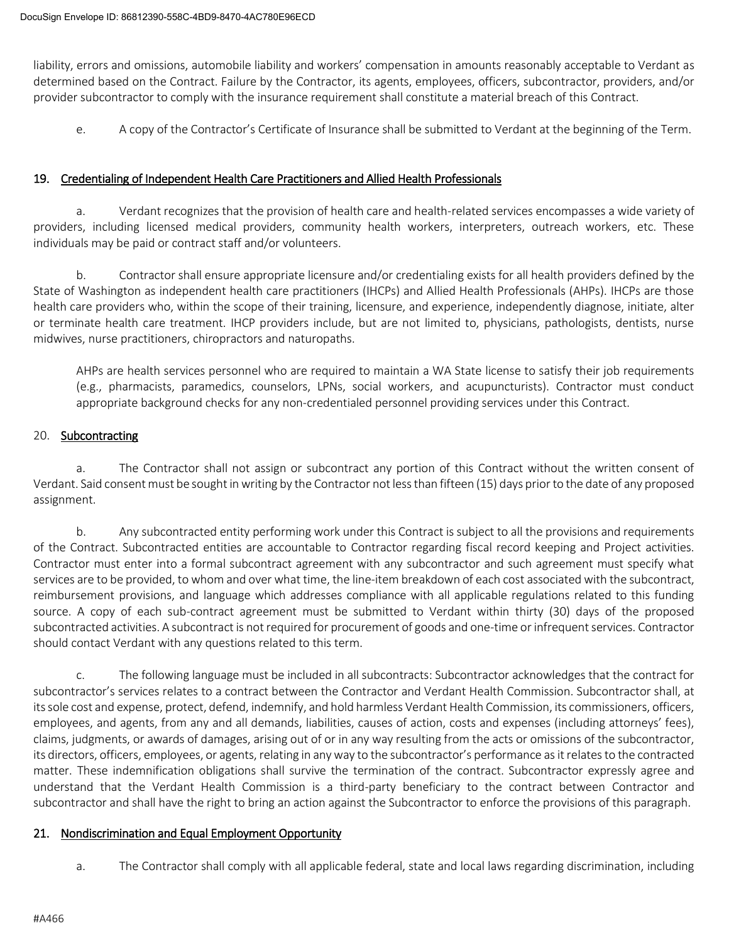liability, errors and omissions, automobile liability and workers' compensation in amounts reasonably acceptable to Verdant as determined based on the Contract. Failure by the Contractor, its agents, employees, officers, subcontractor, providers, and/or provider subcontractor to comply with the insurance requirement shall constitute a material breach of this Contract.

e. A copy of the Contractor's Certificate of Insurance shall be submitted to Verdant at the beginning of the Term.

### 19. Credentialing of Independent Health Care Practitioners and Allied Health Professionals

a. Verdant recognizes that the provision of health care and health-related services encompasses a wide variety of providers, including licensed medical providers, community health workers, interpreters, outreach workers, etc. These individuals may be paid or contract staff and/or volunteers.

b. Contractor shall ensure appropriate licensure and/or credentialing exists for all health providers defined by the State of Washington as independent health care practitioners (IHCPs) and Allied Health Professionals (AHPs). IHCPs are those health care providers who, within the scope of their training, licensure, and experience, independently diagnose, initiate, alter or terminate health care treatment. IHCP providers include, but are not limited to, physicians, pathologists, dentists, nurse midwives, nurse practitioners, chiropractors and naturopaths.

AHPs are health services personnel who are required to maintain a WA State license to satisfy their job requirements (e.g., pharmacists, paramedics, counselors, LPNs, social workers, and acupuncturists). Contractor must conduct appropriate background checks for any non-credentialed personnel providing services under this Contract.

### 20. Subcontracting

a. The Contractor shall not assign or subcontract any portion of this Contract without the written consent of Verdant. Said consent must be sought in writing by the Contractor not less than fifteen (15) days prior to the date of any proposed assignment.

b. Any subcontracted entity performing work under this Contract is subject to all the provisions and requirements of the Contract. Subcontracted entities are accountable to Contractor regarding fiscal record keeping and Project activities. Contractor must enter into a formal subcontract agreement with any subcontractor and such agreement must specify what services are to be provided, to whom and over what time, the line-item breakdown of each cost associated with the subcontract, reimbursement provisions, and language which addresses compliance with all applicable regulations related to this funding source. A copy of each sub-contract agreement must be submitted to Verdant within thirty (30) days of the proposed subcontracted activities. A subcontract is not required for procurement of goods and one-time or infrequent services. Contractor should contact Verdant with any questions related to this term.

c. The following language must be included in all subcontracts: Subcontractor acknowledges that the contract for subcontractor's services relates to a contract between the Contractor and Verdant Health Commission. Subcontractor shall, at its sole cost and expense, protect, defend, indemnify, and hold harmless Verdant Health Commission, its commissioners, officers, employees, and agents, from any and all demands, liabilities, causes of action, costs and expenses (including attorneys' fees), claims, judgments, or awards of damages, arising out of or in any way resulting from the acts or omissions of the subcontractor, its directors, officers, employees, or agents, relating in any way to the subcontractor's performance as it relates to the contracted matter. These indemnification obligations shall survive the termination of the contract. Subcontractor expressly agree and understand that the Verdant Health Commission is a third-party beneficiary to the contract between Contractor and subcontractor and shall have the right to bring an action against the Subcontractor to enforce the provisions of this paragraph.

### 21. Nondiscrimination and Equal Employment Opportunity

a. The Contractor shall comply with all applicable federal, state and local laws regarding discrimination, including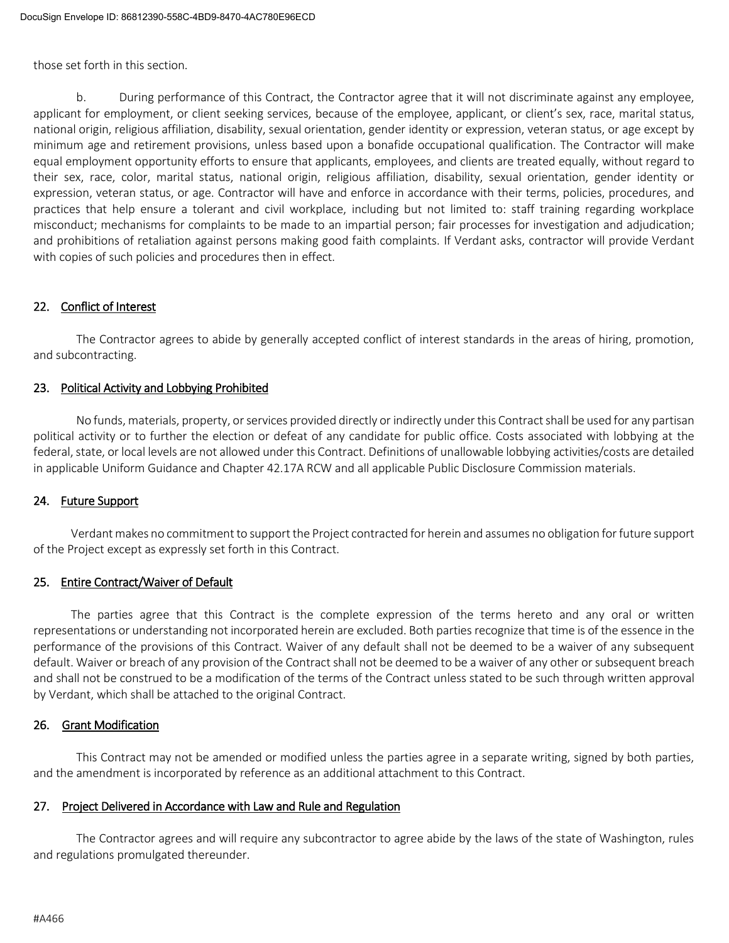those set forth in this section.

During performance of this Contract, the Contractor agree that it will not discriminate against any employee, applicant for employment, or client seeking services, because of the employee, applicant, or client's sex, race, marital status, national origin, religious affiliation, disability, sexual orientation, gender identity or expression, veteran status, or age except by minimum age and retirement provisions, unless based upon a bonafide occupational qualification. The Contractor will make equal employment opportunity efforts to ensure that applicants, employees, and clients are treated equally, without regard to their sex, race, color, marital status, national origin, religious affiliation, disability, sexual orientation, gender identity or expression, veteran status, or age. Contractor will have and enforce in accordance with their terms, policies, procedures, and practices that help ensure a tolerant and civil workplace, including but not limited to: staff training regarding workplace misconduct; mechanisms for complaints to be made to an impartial person; fair processes for investigation and adjudication; and prohibitions of retaliation against persons making good faith complaints. If Verdant asks, contractor will provide Verdant with copies of such policies and procedures then in effect.

### 22. Conflict of Interest

The Contractor agrees to abide by generally accepted conflict of interest standards in the areas of hiring, promotion, and subcontracting.

### 23. Political Activity and Lobbying Prohibited

No funds, materials, property, or services provided directly or indirectly under this Contract shall be used for any partisan political activity or to further the election or defeat of any candidate for public office. Costs associated with lobbying at the federal, state, or local levels are not allowed under this Contract. Definitions of unallowable lobbying activities/costs are detailed in applicable Uniform Guidance and Chapter 42.17A RCW and all applicable Public Disclosure Commission materials.

### 24. Future Support

Verdant makes no commitment to support the Project contracted for herein and assumes no obligation for future support of the Project except as expressly set forth in this Contract.

### 25. Entire Contract/Waiver of Default

The parties agree that this Contract is the complete expression of the terms hereto and any oral or written representations or understanding not incorporated herein are excluded. Both parties recognize that time is of the essence in the performance of the provisions of this Contract. Waiver of any default shall not be deemed to be a waiver of any subsequent default. Waiver or breach of any provision of the Contract shall not be deemed to be a waiver of any other or subsequent breach and shall not be construed to be a modification of the terms of the Contract unless stated to be such through written approval by Verdant, which shall be attached to the original Contract.

### 26. Grant Modification

This Contract may not be amended or modified unless the parties agree in a separate writing, signed by both parties, and the amendment is incorporated by reference as an additional attachment to this Contract.

### 27. Project Delivered in Accordance with Law and Rule and Regulation

The Contractor agrees and will require any subcontractor to agree abide by the laws of the state of Washington, rules and regulations promulgated thereunder.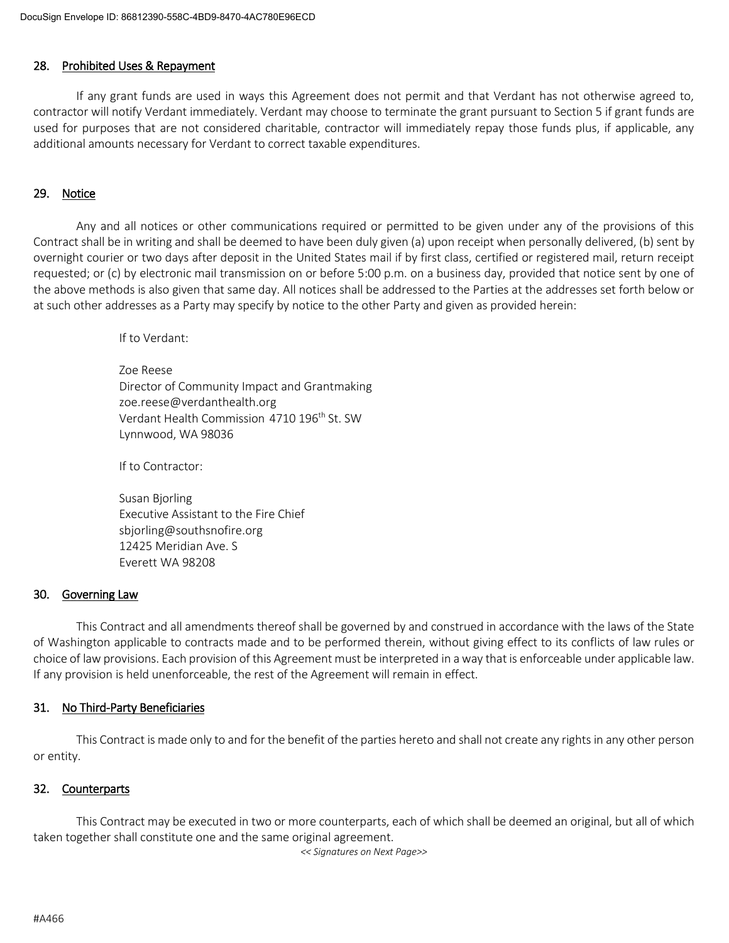#### 28. Prohibited Uses & Repayment

If any grant funds are used in ways this Agreement does not permit and that Verdant has not otherwise agreed to, contractor will notify Verdant immediately. Verdant may choose to terminate the grant pursuant to Section 5 if grant funds are used for purposes that are not considered charitable, contractor will immediately repay those funds plus, if applicable, any additional amounts necessary for Verdant to correct taxable expenditures.

### 29. Notice

Any and all notices or other communications required or permitted to be given under any of the provisions of this Contract shall be in writing and shall be deemed to have been duly given (a) upon receipt when personally delivered, (b) sent by overnight courier or two days after deposit in the United States mail if by first class, certified or registered mail, return receipt requested; or (c) by electronic mail transmission on or before 5:00 p.m. on a business day, provided that notice sent by one of the above methods is also given that same day. All notices shall be addressed to the Parties at the addresses set forth below or at such other addresses as a Party may specify by notice to the other Party and given as provided herein:

If to Verdant:

Zoe Reese Director of Community Impact and Grantmaking zoe.reese@verdanthealth.org Verdant Health Commission 4710 196<sup>th</sup> St. SW Lynnwood, WA 98036

If to Contractor:

Susan Bjorling Executive Assistant to the Fire Chief sbjorling@southsnofire.org 12425 Meridian Ave. S Everett WA 98208

#### 30. Governing Law

This Contract and all amendments thereof shall be governed by and construed in accordance with the laws of the State of Washington applicable to contracts made and to be performed therein, without giving effect to its conflicts of law rules or choice of law provisions. Each provision of this Agreement must be interpreted in a way that is enforceable under applicable law. If any provision is held unenforceable, the rest of the Agreement will remain in effect.

#### 31. No Third-Party Beneficiaries

This Contract is made only to and for the benefit of the parties hereto and shall not create any rights in any other person or entity.

### 32. Counterparts

This Contract may be executed in two or more counterparts, each of which shall be deemed an original, but all of which taken together shall constitute one and the same original agreement.

*<< Signatures on Next Page>>*